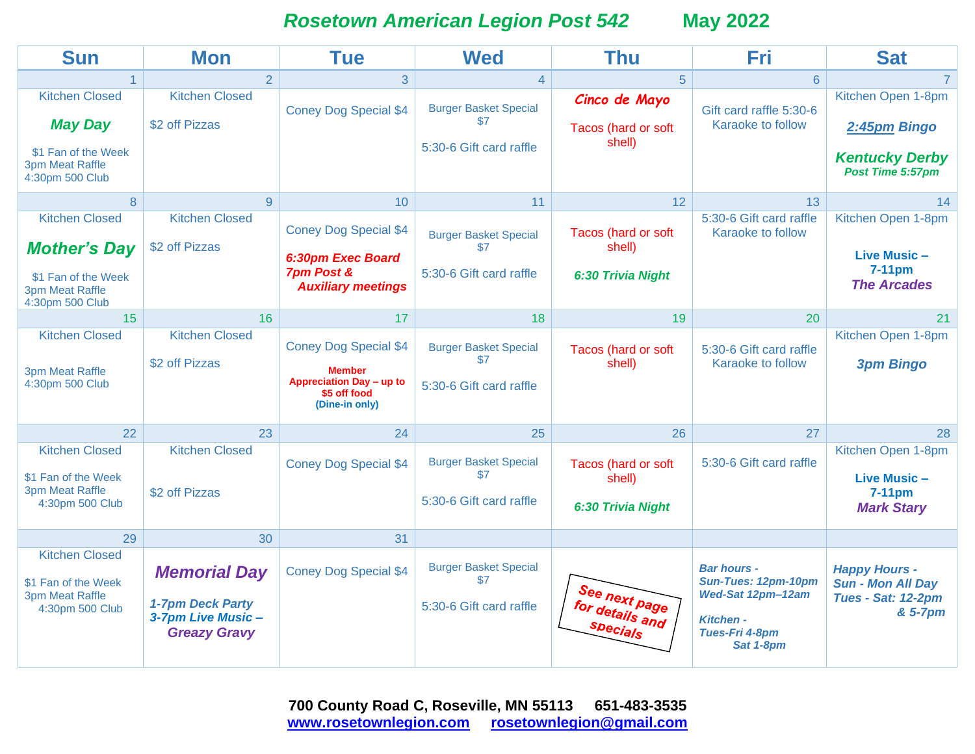*Rosetown American Legion Post 542* **May 2022**

| <b>Sun</b>                                                                                                | <b>Mon</b>                                                                          | <b>Tue</b>                                                                                                  | <b>Wed</b>                                                     | Thu                                                | Fri                                                                                                               | <b>Sat</b>                                                                               |
|-----------------------------------------------------------------------------------------------------------|-------------------------------------------------------------------------------------|-------------------------------------------------------------------------------------------------------------|----------------------------------------------------------------|----------------------------------------------------|-------------------------------------------------------------------------------------------------------------------|------------------------------------------------------------------------------------------|
|                                                                                                           | $\overline{2}$                                                                      | 3                                                                                                           | 4                                                              | 5                                                  | 6                                                                                                                 |                                                                                          |
| <b>Kitchen Closed</b><br><b>May Day</b><br>\$1 Fan of the Week<br>3pm Meat Raffle<br>4:30pm 500 Club      | <b>Kitchen Closed</b><br>\$2 off Pizzas                                             | <b>Coney Dog Special \$4</b>                                                                                | <b>Burger Basket Special</b><br>\$7<br>5:30-6 Gift card raffle | Cinco de Mayo<br>Tacos (hard or soft<br>shell)     | Gift card raffle 5:30-6<br>Karaoke to follow                                                                      | Kitchen Open 1-8pm<br>2:45pm Bingo<br><b>Kentucky Derby</b><br>Post Time 5:57pm          |
| 8                                                                                                         | 9                                                                                   | 10                                                                                                          | 11                                                             | 12                                                 | 13                                                                                                                | 14                                                                                       |
| <b>Kitchen Closed</b><br><b>Mother's Day</b><br>\$1 Fan of the Week<br>3pm Meat Raffle<br>4:30pm 500 Club | <b>Kitchen Closed</b><br>\$2 off Pizzas                                             | <b>Coney Dog Special \$4</b><br>6:30pm Exec Board<br><b>7pm Post &amp;</b><br><b>Auxiliary meetings</b>     | <b>Burger Basket Special</b><br>\$7<br>5:30-6 Gift card raffle | Tacos (hard or soft<br>shell)<br>6:30 Trivia Night | 5:30-6 Gift card raffle<br>Karaoke to follow                                                                      | Kitchen Open 1-8pm<br>Live Music -<br>7-11pm<br><b>The Arcades</b>                       |
| 15                                                                                                        | 16                                                                                  | 17                                                                                                          | 18                                                             | 19                                                 | 20                                                                                                                | 21                                                                                       |
| <b>Kitchen Closed</b><br>3pm Meat Raffle<br>4:30pm 500 Club                                               | <b>Kitchen Closed</b><br>\$2 off Pizzas                                             | <b>Coney Dog Special \$4</b><br><b>Member</b><br>Appreciation Day - up to<br>\$5 off food<br>(Dine-in only) | <b>Burger Basket Special</b><br>\$7<br>5:30-6 Gift card raffle | Tacos (hard or soft<br>shell)                      | 5:30-6 Gift card raffle<br>Karaoke to follow                                                                      | Kitchen Open 1-8pm<br><b>3pm Bingo</b>                                                   |
| 22                                                                                                        | 23                                                                                  | 24                                                                                                          | 25                                                             | 26                                                 | 27                                                                                                                | 28                                                                                       |
| <b>Kitchen Closed</b><br>\$1 Fan of the Week<br><b>3pm Meat Raffle</b><br>4:30pm 500 Club                 | <b>Kitchen Closed</b><br>\$2 off Pizzas                                             | <b>Coney Dog Special \$4</b>                                                                                | <b>Burger Basket Special</b><br>\$7<br>5:30-6 Gift card raffle | Tacos (hard or soft<br>shell)<br>6:30 Trivia Night | 5:30-6 Gift card raffle                                                                                           | Kitchen Open 1-8pm<br>Live Music -<br>$7-11$ pm<br><b>Mark Stary</b>                     |
| 29                                                                                                        | 30                                                                                  | 31                                                                                                          |                                                                |                                                    |                                                                                                                   |                                                                                          |
| <b>Kitchen Closed</b><br>\$1 Fan of the Week<br><b>3pm Meat Raffle</b><br>4:30pm 500 Club                 | <b>Memorial Day</b><br>1-7pm Deck Party<br>3-7pm Live Music-<br><b>Greazy Gravy</b> | <b>Coney Dog Special \$4</b>                                                                                | <b>Burger Basket Special</b><br>\$7<br>5:30-6 Gift card raffle | See next page<br>for details and<br>Specials       | <b>Bar hours -</b><br>Sun-Tues: 12pm-10pm<br>Wed-Sat 12pm-12am<br><b>Kitchen -</b><br>Tues-Fri 4-8pm<br>Sat 1-8pm | <b>Happy Hours -</b><br><b>Sun - Mon All Day</b><br><b>Tues - Sat: 12-2pm</b><br>& 5-7pm |